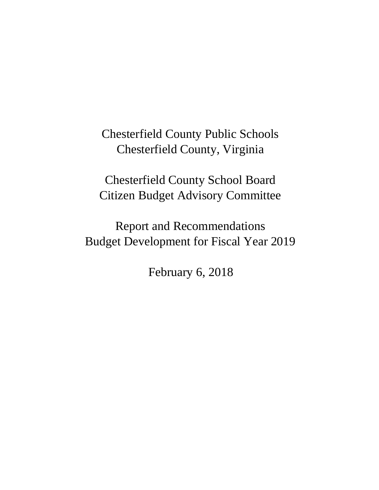Chesterfield County Public Schools Chesterfield County, Virginia

Chesterfield County School Board Citizen Budget Advisory Committee

Report and Recommendations Budget Development for Fiscal Year 2019

February 6, 2018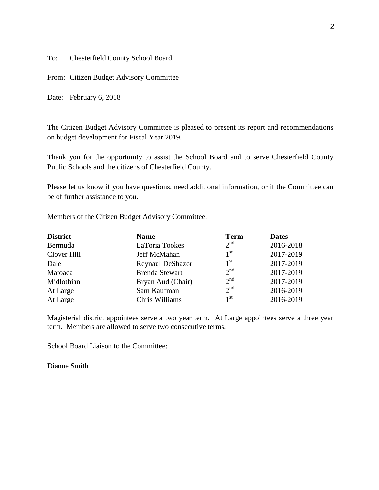To: Chesterfield County School Board

From: Citizen Budget Advisory Committee

Date: February 6, 2018

The Citizen Budget Advisory Committee is pleased to present its report and recommendations on budget development for Fiscal Year 2019.

Thank you for the opportunity to assist the School Board and to serve Chesterfield County Public Schools and the citizens of Chesterfield County.

Please let us know if you have questions, need additional information, or if the Committee can be of further assistance to you.

Members of the Citizen Budget Advisory Committee:

| <b>District</b> | <b>Name</b>           | <b>Term</b>     | <b>Dates</b> |
|-----------------|-----------------------|-----------------|--------------|
| Bermuda         | LaToria Tookes        | $2^{nd}$        | 2016-2018    |
| Clover Hill     | Jeff McMahan          | 1 <sup>st</sup> | 2017-2019    |
| Dale            | Reynaul DeShazor      | 1 <sup>st</sup> | 2017-2019    |
| Matoaca         | <b>Brenda Stewart</b> | 2 <sup>nd</sup> | 2017-2019    |
| Midlothian      | Bryan Aud (Chair)     | 2 <sup>nd</sup> | 2017-2019    |
| At Large        | Sam Kaufman           | 2 <sup>nd</sup> | 2016-2019    |
| At Large        | Chris Williams        | 1 <sup>st</sup> | 2016-2019    |

Magisterial district appointees serve a two year term. At Large appointees serve a three year term. Members are allowed to serve two consecutive terms.

School Board Liaison to the Committee:

Dianne Smith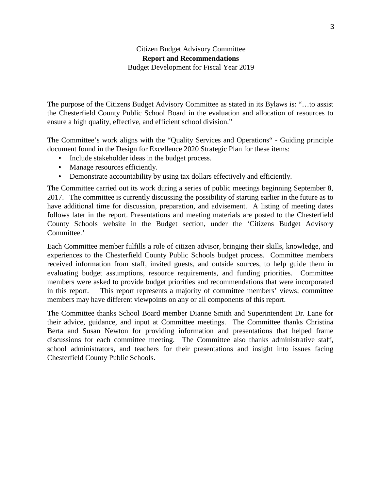# Citizen Budget Advisory Committee **Report and Recommendations**  Budget Development for Fiscal Year 2019

The purpose of the Citizens Budget Advisory Committee as stated in its Bylaws is: "…to assist the Chesterfield County Public School Board in the evaluation and allocation of resources to ensure a high quality, effective, and efficient school division."

The Committee's work aligns with the "Quality Services and Operations" - Guiding principle document found in the Design for Excellence 2020 Strategic Plan for these items:

- Include stakeholder ideas in the budget process.
- Manage resources efficiently.
- Demonstrate accountability by using tax dollars effectively and efficiently.

The Committee carried out its work during a series of public meetings beginning September 8, 2017. The committee is currently discussing the possibility of starting earlier in the future as to have additional time for discussion, preparation, and advisement. A listing of meeting dates follows later in the report. Presentations and meeting materials are posted to the Chesterfield County Schools website in the Budget section, under the 'Citizens Budget Advisory Committee.'

Each Committee member fulfills a role of citizen advisor, bringing their skills, knowledge, and experiences to the Chesterfield County Public Schools budget process. Committee members received information from staff, invited guests, and outside sources, to help guide them in evaluating budget assumptions, resource requirements, and funding priorities. Committee members were asked to provide budget priorities and recommendations that were incorporated in this report. This report represents a majority of committee members' views; committee members may have different viewpoints on any or all components of this report.

The Committee thanks School Board member Dianne Smith and Superintendent Dr. Lane for their advice, guidance, and input at Committee meetings. The Committee thanks Christina Berta and Susan Newton for providing information and presentations that helped frame discussions for each committee meeting. The Committee also thanks administrative staff, school administrators, and teachers for their presentations and insight into issues facing Chesterfield County Public Schools.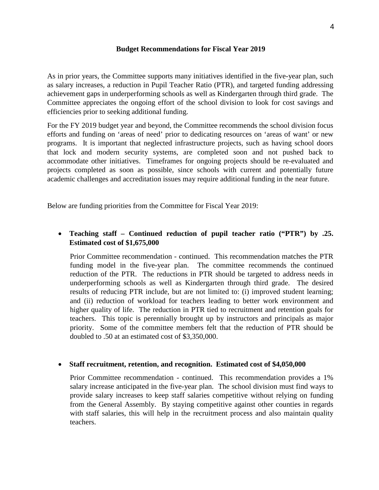### **Budget Recommendations for Fiscal Year 2019**

As in prior years, the Committee supports many initiatives identified in the five-year plan, such as salary increases, a reduction in Pupil Teacher Ratio (PTR), and targeted funding addressing achievement gaps in underperforming schools as well as Kindergarten through third grade. The Committee appreciates the ongoing effort of the school division to look for cost savings and efficiencies prior to seeking additional funding.

For the FY 2019 budget year and beyond, the Committee recommends the school division focus efforts and funding on 'areas of need' prior to dedicating resources on 'areas of want' or new programs. It is important that neglected infrastructure projects, such as having school doors that lock and modern security systems, are completed soon and not pushed back to accommodate other initiatives. Timeframes for ongoing projects should be re-evaluated and projects completed as soon as possible, since schools with current and potentially future academic challenges and accreditation issues may require additional funding in the near future.

Below are funding priorities from the Committee for Fiscal Year 2019:

# • **Teaching staff – Continued reduction of pupil teacher ratio ("PTR") by .25. Estimated cost of \$1,675,000**

Prior Committee recommendation - continued. This recommendation matches the PTR funding model in the five-year plan. The committee recommends the continued reduction of the PTR. The reductions in PTR should be targeted to address needs in underperforming schools as well as Kindergarten through third grade. The desired results of reducing PTR include, but are not limited to: (i) improved student learning; and (ii) reduction of workload for teachers leading to better work environment and higher quality of life. The reduction in PTR tied to recruitment and retention goals for teachers. This topic is perennially brought up by instructors and principals as major priority. Some of the committee members felt that the reduction of PTR should be doubled to .50 at an estimated cost of \$3,350,000.

### • **Staff recruitment, retention, and recognition. Estimated cost of \$4,050,000**

Prior Committee recommendation - continued. This recommendation provides a 1% salary increase anticipated in the five-year plan. The school division must find ways to provide salary increases to keep staff salaries competitive without relying on funding from the General Assembly. By staying competitive against other counties in regards with staff salaries, this will help in the recruitment process and also maintain quality teachers.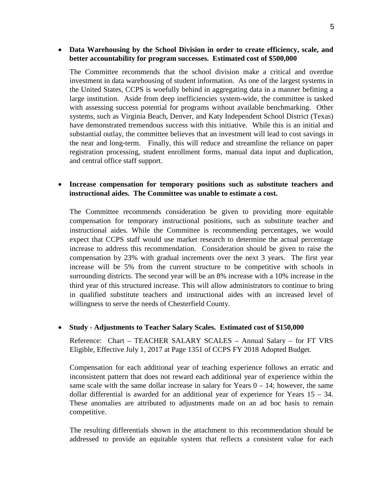### • **Data Warehousing by the School Division in order to create efficiency, scale, and better accountability for program successes. Estimated cost of \$500,000**

The Committee recommends that the school division make a critical and overdue investment in data warehousing of student information. As one of the largest systems in the United States, CCPS is woefully behind in aggregating data in a manner befitting a large institution. Aside from deep inefficiencies system-wide, the committee is tasked with assessing success potential for programs without available benchmarking. Other systems, such as Virginia Beach, Denver, and Katy Independent School District (Texas) have demonstrated tremendous success with this initiative. While this is an initial and substantial outlay, the committee believes that an investment will lead to cost savings in the near and long-term. Finally, this will reduce and streamline the reliance on paper registration processing, student enrollment forms, manual data input and duplication, and central office staff support.

## • **Increase compensation for temporary positions such as substitute teachers and instructional aides. The Committee was unable to estimate a cost.**

The Committee recommends consideration be given to providing more equitable compensation for temporary instructional positions, such as substitute teacher and instructional aides. While the Committee is recommending percentages, we would expect that CCPS staff would use market research to determine the actual percentage increase to address this recommendation. Consideration should be given to raise the compensation by 23% with gradual increments over the next 3 years. The first year increase will be 5% from the current structure to be competitive with schools in surrounding districts. The second year will be an 8% increase with a 10% increase in the third year of this structured increase. This will allow administrators to continue to bring in qualified substitute teachers and instructional aides with an increased level of willingness to serve the needs of Chesterfield County.

### • **Study - Adjustments to Teacher Salary Scales. Estimated cost of \$150,000**

Reference: Chart – TEACHER SALARY SCALES – Annual Salary – for FT VRS Eligible, Effective July 1, 2017 at Page 1351 of CCPS FY 2018 Adopted Budget.

Compensation for each additional year of teaching experience follows an erratic and inconsistent pattern that does not reward each additional year of experience within the same scale with the same dollar increase in salary for Years  $0 - 14$ ; however, the same dollar differential is awarded for an additional year of experience for Years 15 – 34. These anomalies are attributed to adjustments made on an ad hoc basis to remain competitive.

The resulting differentials shown in the attachment to this recommendation should be addressed to provide an equitable system that reflects a consistent value for each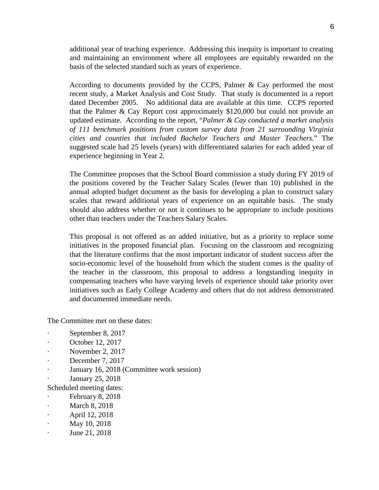additional year of teaching experience. Addressing this inequity is important to creating and maintaining an environment where all employees are equitably rewarded on the basis of the selected standard such as years of experience.

According to documents provided by the CCPS, Palmer & Cay performed the most recent study, a Market Analysis and Cost Study. That study is documented in a report dated December 2005. No additional data are available at this time. CCPS reported that the Palmer & Cay Report cost approximately \$120,000 but could not provide an updated estimate. According to the report, "*Palmer & Cay conducted a market analysis of 111 benchmark positions from custom survey data from 21 surrounding Virginia cities and counties that included Bachelor Teachers and Master Teachers.*" The suggested scale had 25 levels (years) with differentiated salaries for each added year of experience beginning in Year 2.

The Committee proposes that the School Board commission a study during FY 2019 of the positions covered by the Teacher Salary Scales (fewer than 10) published in the annual adopted budget document as the basis for developing a plan to construct salary scales that reward additional years of experience on an equitable basis. The study should also address whether or not it continues to be appropriate to include positions other than teachers under the Teachers Salary Scales.

This proposal is not offered as an added initiative, but as a priority to replace some initiatives in the proposed financial plan. Focusing on the classroom and recognizing that the literature confirms that the most important indicator of student success after the socio-economic level of the household from which the student comes is the quality of the teacher in the classroom, this proposal to address a longstanding inequity in compensating teachers who have varying levels of experience should take priority over initiatives such as Early College Academy and others that do not address demonstrated and documented immediate needs.

The Committee met on these dates:

- September 8, 2017
- October 12, 2017
- · November 2, 2017
- December 7, 2017
- January 16, 2018 (Committee work session)
- · January 25, 2018

Scheduled meeting dates:

- · February 8, 2018
- March 8, 2018
- · April 12, 2018
- · May 10, 2018
- June 21, 2018